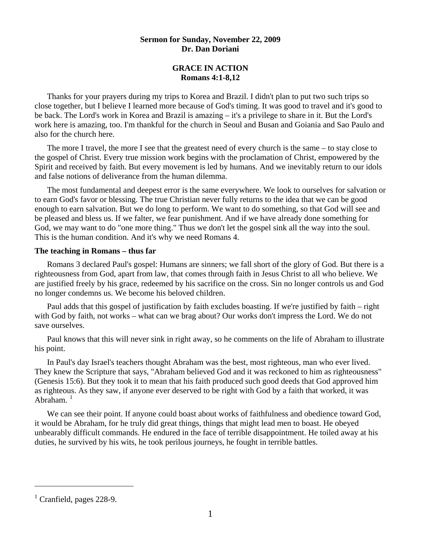## **Sermon for Sunday, November 22, 2009 Dr. Dan Doriani**

# **GRACE IN ACTION Romans 4:1-8,12**

 Thanks for your prayers during my trips to Korea and Brazil. I didn't plan to put two such trips so close together, but I believe I learned more because of God's timing. It was good to travel and it's good to be back. The Lord's work in Korea and Brazil is amazing – it's a privilege to share in it. But the Lord's work here is amazing, too. I'm thankful for the church in Seoul and Busan and Goiania and Sao Paulo and also for the church here.

The more I travel, the more I see that the greatest need of every church is the same – to stay close to the gospel of Christ. Every true mission work begins with the proclamation of Christ, empowered by the Spirit and received by faith. But every movement is led by humans. And we inevitably return to our idols and false notions of deliverance from the human dilemma.

 The most fundamental and deepest error is the same everywhere. We look to ourselves for salvation or to earn God's favor or blessing. The true Christian never fully returns to the idea that we can be good enough to earn salvation. But we do long to perform. We want to do something, so that God will see and be pleased and bless us. If we falter, we fear punishment. And if we have already done something for God, we may want to do "one more thing." Thus we don't let the gospel sink all the way into the soul. This is the human condition. And it's why we need Romans 4.

### **The teaching in Romans – thus far**

Romans 3 declared Paul's gospel: Humans are sinners; we fall short of the glory of God. But there is a righteousness from God, apart from law, that comes through faith in Jesus Christ to all who believe. We are justified freely by his grace, redeemed by his sacrifice on the cross. Sin no longer controls us and God no longer condemns us. We become his beloved children.

 Paul adds that this gospel of justification by faith excludes boasting. If we're justified by faith – right with God by faith, not works – what can we brag about? Our works don't impress the Lord. We do not save ourselves.

 Paul knows that this will never sink in right away, so he comments on the life of Abraham to illustrate his point.

 In Paul's day Israel's teachers thought Abraham was the best, most righteous, man who ever lived. They knew the Scripture that says, "Abraham believed God and it was reckoned to him as righteousness" (Genesis 15:6). But they took it to mean that his faith produced such good deeds that God approved him as righteous. As they saw, if anyone ever deserved to be right with God by a faith that worked, it was Abraham. $1$ 

We can see their point. If anyone could boast about works of faithfulness and obedience toward God, it would be Abraham, for he truly did great things, things that might lead men to boast. He obeyed unbearably difficult commands. He endured in the face of terrible disappointment. He toiled away at his duties, he survived by his wits, he took perilous journeys, he fought in terrible battles.

 $\overline{a}$ 

<span id="page-0-0"></span><sup>&</sup>lt;sup>1</sup> Cranfield, pages 228-9.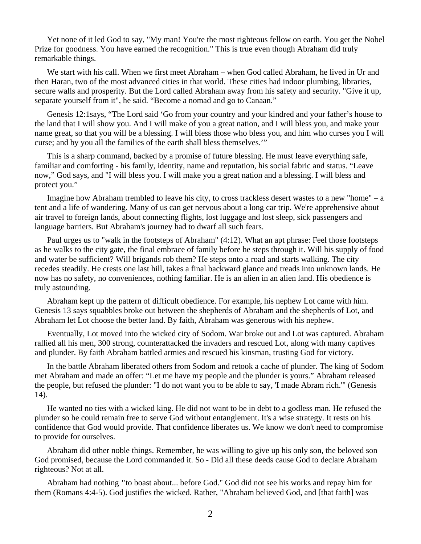Yet none of it led God to say, "My man! You're the most righteous fellow on earth. You get the Nobel Prize for goodness. You have earned the recognition." This is true even though Abraham did truly remarkable things.

 We start with his call. When we first meet Abraham – when God called Abraham, he lived in Ur and then Haran, two of the most advanced cities in that world. These cities had indoor plumbing, libraries, secure walls and prosperity. But the Lord called Abraham away from his safety and security. "Give it up, separate yourself from it", he said. "Become a nomad and go to Canaan."

 Genesis 12:1says, "The Lord said 'Go from your country and your kindred and your father's house to the land that I will show you. And I will make of you a great nation, and I will bless you, and make your name great, so that you will be a blessing. I will bless those who bless you, and him who curses you I will curse; and by you all the families of the earth shall bless themselves.'"

 This is a sharp command, backed by a promise of future blessing. He must leave everything safe, familiar and comforting - his family, identity, name and reputation, his social fabric and status. "Leave now," God says, and "I will bless you. I will make you a great nation and a blessing. I will bless and protect you."

 Imagine how Abraham trembled to leave his city, to cross trackless desert wastes to a new "home" – a tent and a life of wandering. Many of us can get nervous about a long car trip. We're apprehensive about air travel to foreign lands, about connecting flights, lost luggage and lost sleep, sick passengers and language barriers. But Abraham's journey had to dwarf all such fears.

 Paul urges us to "walk in the footsteps of Abraham" (4:12). What an apt phrase: Feel those footsteps as he walks to the city gate, the final embrace of family before he steps through it. Will his supply of food and water be sufficient? Will brigands rob them? He steps onto a road and starts walking. The city recedes steadily. He crests one last hill, takes a final backward glance and treads into unknown lands. He now has no safety, no conveniences, nothing familiar. He is an alien in an alien land. His obedience is truly astounding.

Abraham kept up the pattern of difficult obedience. For example, his nephew Lot came with him. Genesis 13 says squabbles broke out between the shepherds of Abraham and the shepherds of Lot, and Abraham let Lot choose the better land. By faith, Abraham was generous with his nephew.

 Eventually, Lot moved into the wicked city of Sodom. War broke out and Lot was captured. Abraham rallied all his men, 300 strong, counterattacked the invaders and rescued Lot, along with many captives and plunder. By faith Abraham battled armies and rescued his kinsman, trusting God for victory.

 In the battle Abraham liberated others from Sodom and retook a cache of plunder. The king of Sodom met Abraham and made an offer: "Let me have my people and the plunder is yours." Abraham released the people, but refused the plunder: "I do not want you to be able to say, 'I made Abram rich.'" (Genesis 14).

 He wanted no ties with a wicked king. He did not want to be in debt to a godless man. He refused the plunder so he could remain free to serve God without entanglement. It's a wise strategy. It rests on his confidence that God would provide. That confidence liberates us. We know we don't need to compromise to provide for ourselves.

 Abraham did other noble things. Remember, he was willing to give up his only son, the beloved son God promised, because the Lord commanded it. So - Did all these deeds cause God to declare Abraham righteous? Not at all.

 Abraham had nothing **"**to boast about... before God." God did not see his works and repay him for them (Romans 4:4-5). God justifies the wicked. Rather, "Abraham believed God, and [that faith] was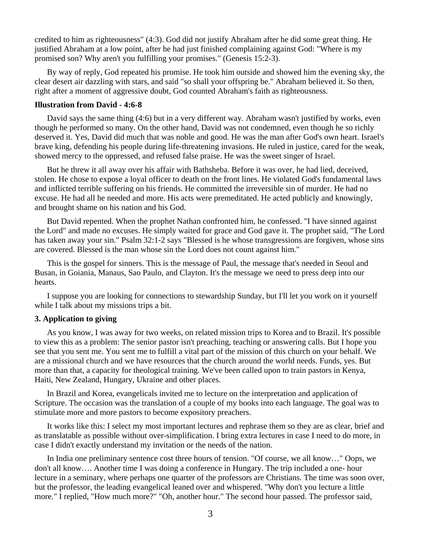credited to him as righteousness" (4:3). God did not justify Abraham after he did some great thing. He justified Abraham at a low point, after he had just finished complaining against God: "Where is my promised son? Why aren't you fulfilling your promises." (Genesis 15:2-3).

 By way of reply, God repeated his promise. He took him outside and showed him the evening sky, the clear desert air dazzling with stars, and said "so shall your offspring be." Abraham believed it. So then, right after a moment of aggressive doubt, God counted Abraham's faith as righteousness.

#### **Illustration from David - 4:6-8**

 David says the same thing (4:6) but in a very different way. Abraham wasn't justified by works, even though he performed so many. On the other hand, David was not condemned, even though he so richly deserved it. Yes, David did much that was noble and good. He was the man after God's own heart. Israel's brave king, defending his people during life-threatening invasions. He ruled in justice, cared for the weak, showed mercy to the oppressed, and refused false praise. He was the sweet singer of Israel.

 But he threw it all away over his affair with Bathsheba. Before it was over, he had lied, deceived, stolen. He chose to expose a loyal officer to death on the front lines. He violated God's fundamental laws and inflicted terrible suffering on his friends. He committed the irreversible sin of murder. He had no excuse. He had all he needed and more. His acts were premeditated. He acted publicly and knowingly, and brought shame on his nation and his God.

 But David repented. When the prophet Nathan confronted him, he confessed. "I have sinned against the Lord" and made no excuses. He simply waited for grace and God gave it. The prophet said, "The Lord has taken away your sin." Psalm 32:1-2 says "Blessed is he whose transgressions are forgiven, whose sins are covered. Blessed is the man whose sin the Lord does not count against him."

 This is the gospel for sinners. This is the message of Paul, the message that's needed in Seoul and Busan, in Goiania, Manaus, Sao Paulo, and Clayton. It's the message we need to press deep into our hearts.

 I suppose you are looking for connections to stewardship Sunday, but I'll let you work on it yourself while I talk about my missions trips a bit.

## **3. Application to giving**

 As you know, I was away for two weeks, on related mission trips to Korea and to Brazil. It's possible to view this as a problem: The senior pastor isn't preaching, teaching or answering calls. But I hope you see that you sent me. You sent me to fulfill a vital part of the mission of this church on your behalf. We are a missional church and we have resources that the church around the world needs. Funds, yes. But more than that, a capacity for theological training. We've been called upon to train pastors in Kenya, Haiti, New Zealand, Hungary, Ukraine and other places.

 In Brazil and Korea, evangelicals invited me to lecture on the interpretation and application of Scripture. The occasion was the translation of a couple of my books into each language. The goal was to stimulate more and more pastors to become expository preachers.

 It works like this: I select my most important lectures and rephrase them so they are as clear, brief and as translatable as possible without over-simplification. I bring extra lectures in case I need to do more, in case I didn't exactly understand my invitation or the needs of the nation.

 In India one preliminary sentence cost three hours of tension. "Of course, we all know…" Oops, we don't all know…. Another time I was doing a conference in Hungary. The trip included a one- hour lecture in a seminary, where perhaps one quarter of the professors are Christians. The time was soon over, but the professor, the leading evangelical leaned over and whispered. "Why don't you lecture a little more." I replied, "How much more?" "Oh, another hour." The second hour passed. The professor said,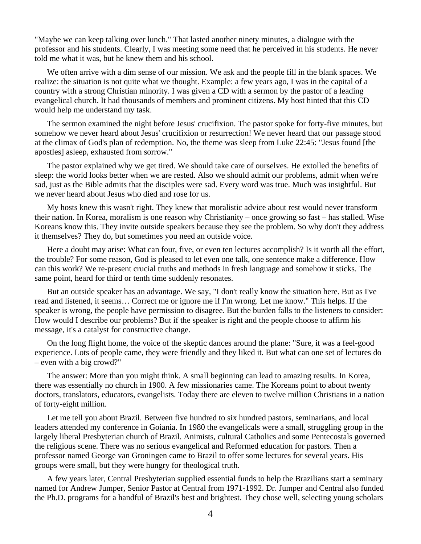"Maybe we can keep talking over lunch." That lasted another ninety minutes, a dialogue with the professor and his students. Clearly, I was meeting some need that he perceived in his students. He never told me what it was, but he knew them and his school.

 We often arrive with a dim sense of our mission. We ask and the people fill in the blank spaces. We realize: the situation is not quite what we thought. Example: a few years ago, I was in the capital of a country with a strong Christian minority. I was given a CD with a sermon by the pastor of a leading evangelical church. It had thousands of members and prominent citizens. My host hinted that this CD would help me understand my task.

 The sermon examined the night before Jesus' crucifixion. The pastor spoke for forty-five minutes, but somehow we never heard about Jesus' crucifixion or resurrection! We never heard that our passage stood at the climax of God's plan of redemption. No, the theme was sleep from Luke 22:45: "Jesus found [the apostles] asleep, exhausted from sorrow."

 The pastor explained why we get tired. We should take care of ourselves. He extolled the benefits of sleep: the world looks better when we are rested. Also we should admit our problems, admit when we're sad, just as the Bible admits that the disciples were sad. Every word was true. Much was insightful. But we never heard about Jesus who died and rose for us.

 My hosts knew this wasn't right. They knew that moralistic advice about rest would never transform their nation. In Korea, moralism is one reason why Christianity – once growing so fast – has stalled. Wise Koreans know this. They invite outside speakers because they see the problem. So why don't they address it themselves? They do, but sometimes you need an outside voice.

 Here a doubt may arise: What can four, five, or even ten lectures accomplish? Is it worth all the effort, the trouble? For some reason, God is pleased to let even one talk, one sentence make a difference. How can this work? We re-present crucial truths and methods in fresh language and somehow it sticks. The same point, heard for third or tenth time suddenly resonates.

 But an outside speaker has an advantage. We say, "I don't really know the situation here. But as I've read and listened, it seems… Correct me or ignore me if I'm wrong. Let me know." This helps. If the speaker is wrong, the people have permission to disagree. But the burden falls to the listeners to consider: How would I describe our problems? But if the speaker is right and the people choose to affirm his message, it's a catalyst for constructive change.

 On the long flight home, the voice of the skeptic dances around the plane: "Sure, it was a feel-good experience. Lots of people came, they were friendly and they liked it. But what can one set of lectures do – even with a big crowd?"

 The answer: More than you might think. A small beginning can lead to amazing results. In Korea, there was essentially no church in 1900. A few missionaries came. The Koreans point to about twenty doctors, translators, educators, evangelists. Today there are eleven to twelve million Christians in a nation of forty-eight million.

 Let me tell you about Brazil. Between five hundred to six hundred pastors, seminarians, and local leaders attended my conference in Goiania. In 1980 the evangelicals were a small, struggling group in the largely liberal Presbyterian church of Brazil. Animists, cultural Catholics and some Pentecostals governed the religious scene. There was no serious evangelical and Reformed education for pastors. Then a professor named George van Groningen came to Brazil to offer some lectures for several years. His groups were small, but they were hungry for theological truth.

 A few years later, Central Presbyterian supplied essential funds to help the Brazilians start a seminary named for Andrew Jumper, Senior Pastor at Central from 1971-1992. Dr. Jumper and Central also funded the Ph.D. programs for a handful of Brazil's best and brightest. They chose well, selecting young scholars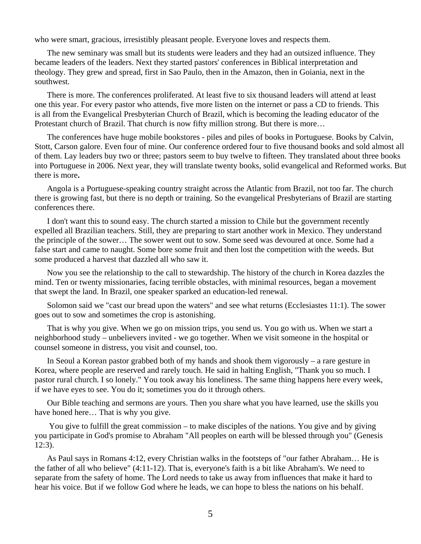who were smart, gracious, irresistibly pleasant people. Everyone loves and respects them.

 The new seminary was small but its students were leaders and they had an outsized influence. They became leaders of the leaders. Next they started pastors' conferences in Biblical interpretation and theology. They grew and spread, first in Sao Paulo, then in the Amazon, then in Goiania, next in the southwest.

 There is more. The conferences proliferated. At least five to six thousand leaders will attend at least one this year. For every pastor who attends, five more listen on the internet or pass a CD to friends. This is all from the Evangelical Presbyterian Church of Brazil, which is becoming the leading educator of the Protestant church of Brazil. That church is now fifty million strong. But there is more…

 The conferences have huge mobile bookstores - piles and piles of books in Portuguese. Books by Calvin, Stott, Carson galore. Even four of mine. Our conference ordered four to five thousand books and sold almost all of them. Lay leaders buy two or three; pastors seem to buy twelve to fifteen. They translated about three books into Portuguese in 2006. Next year, they will translate twenty books, solid evangelical and Reformed works. But there is more**.** 

Angola is a Portuguese-speaking country straight across the Atlantic from Brazil, not too far. The church there is growing fast, but there is no depth or training. So the evangelical Presbyterians of Brazil are starting conferences there.

 I don't want this to sound easy. The church started a mission to Chile but the government recently expelled all Brazilian teachers. Still, they are preparing to start another work in Mexico. They understand the principle of the sower… The sower went out to sow. Some seed was devoured at once. Some had a false start and came to naught. Some bore some fruit and then lost the competition with the weeds. But some produced a harvest that dazzled all who saw it.

 Now you see the relationship to the call to stewardship. The history of the church in Korea dazzles the mind. Ten or twenty missionaries, facing terrible obstacles, with minimal resources, began a movement that swept the land. In Brazil, one speaker sparked an education-led renewal.

 Solomon said we "cast our bread upon the waters" and see what returns (Ecclesiastes 11:1). The sower goes out to sow and sometimes the crop is astonishing.

 That is why you give. When we go on mission trips, you send us. You go with us. When we start a neighborhood study – unbelievers invited - we go together. When we visit someone in the hospital or counsel someone in distress, you visit and counsel, too.

 In Seoul a Korean pastor grabbed both of my hands and shook them vigorously – a rare gesture in Korea, where people are reserved and rarely touch. He said in halting English, "Thank you so much. I pastor rural church. I so lonely." You took away his loneliness. The same thing happens here every week, if we have eyes to see. You do it; sometimes you do it through others.

 Our Bible teaching and sermons are yours. Then you share what you have learned, use the skills you have honed here… That is why you give.

 You give to fulfill the great commission – to make disciples of the nations. You give and by giving you participate in God's promise to Abraham "All peoples on earth will be blessed through you" (Genesis 12:3).

 As Paul says in Romans 4:12, every Christian walks in the footsteps of "our father Abraham… He is the father of all who believe" (4:11-12). That is, everyone's faith is a bit like Abraham's. We need to separate from the safety of home. The Lord needs to take us away from influences that make it hard to hear his voice. But if we follow God where he leads, we can hope to bless the nations on his behalf.